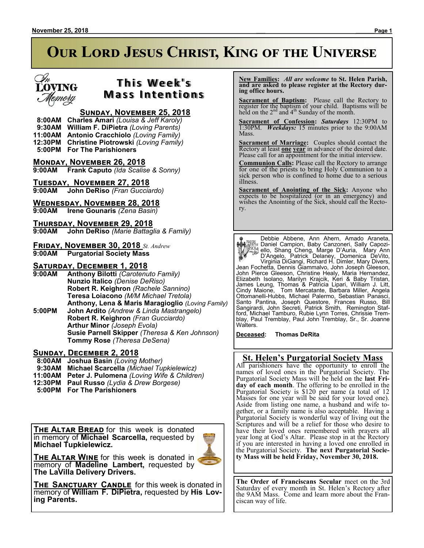

## **T h i s We e k ' s Mass Intentions**

### **Sunday, November 25, 2018**

 **8:00AM Charles Amari** *(Louisa & Jeff Karoly)*  **9:30AM William F. DiPietra** *(Loving Parents)* **11:00AM Antonio Cracchiolo** *(Loving Family)* **12:30PM Christine Piotrowski** *(Loving Family)*

 **5:00PM For The Parishioners**

**Monday, November 26, 2018**

**9:00AM Frank Caputo** *(Ida Scalise & Sonny)*

# **TUESDAY, NOVEMBER 27, 2018**<br>9:00AM John DeRiso (Fran Guccia

**9:00AM John DeRiso** *(Fran Gucciardo)*

### **Wednesday, November 28, 2018**

**9:00AM Irene Gounaris** *(Zena Basin)*

**Thursday, November 29, 2018 9:00AM John DeRiso** *(Marie Battaglia & Family)*

**Friday, November 30, 2018** *St. Andrew* **9:00AM Purgatorial Society Mass**

### **Saturday, December 1, 2018**

- **9:00AM Anthony Bilotti** *(Carotenuto Family)* **Nunzio Italico** *(Denise DeRiso)* **Robert R. Keighron** *(Rachele Sannino)* **Teresa Loiacono** *(M/M Michael Tretola)* **Anthony, Lena & Maris Maragioglio** *(Loving Family)*
- **5:00PM John Ardito** *(Andrew & Linda Mastrangelo)* **Robert R. Keighron** *(Fran Gucciardo)* **Arthur Minor** *(Joseph Evola)* **Susie Parnell Skipper** *(Theresa & Ken Johnson)* **Tommy Rose** *(Theresa DeSena)*

### **Sunday, December 2, 2018**

- **8:00AM Joshua Basin** *(Loving Mother)*
- **9:30AM Michael Scarcella** *(Michael Tupkielewicz)*
- **11:00AM Peter J. Pulomena** *(Loving Wife & Children)*
- **12:30PM Paul Russo** *(Lydia & Drew Borgese)*
- **5:00PM For The Parishioners**

**THE ALTAR BREAD** for this week is donated in memory of **Michael Scarcella,** requested by **Michael Tupkielewicz.**



**THE ALTAR WINE** for this week is donated in memory of **Madeline Lambert,** requested by **The LaVilla Delivery Drivers.**

**The Sanctuary Candle** for this week is donated in memory of **William F. DiPietra,** requested by **His Loving Parents.**

 **New Families:** *All are welcome* **to St. Helen Parish, and are asked to please register at the Rectory during office hours.**

**Sacrament of Baptism:**Please call the Rectory to register for the baptism of your child. Baptisms will be held on the  $2<sup>nd</sup>$  and  $4<sup>th</sup>$  Sunday of the month.

**Sacrament of Confession:** *Saturdays* 12:30PM to 1:30PM. *Weekdays:* 15 minutes prior to the 9:00AM Mass.

**Sacrament of Marriage:**Couples should contact the Rectory at least **one year** in advance of the desired date. Please call for an appointment for the initial interview.

**Communion Calls:** Please call the Rectory to arrange for one of the priests to bring Holy Communion to a sick person who is confined to home due to a serious illness.

**Sacrament of Anointing of the Sick:** Anyone who expects to be hospitalized (or in an emergency) and wishes the Anointing of the Sick, should call the Rectory.

Debbie Abbene, Ann Ahern, Amado Araneta, Daniel Campion, Baby Canzoneri, Sally Capoziello, Shang Cheng, Marge D'Auria, Mary Ann D'Angelo, Patrick Delaney, Domenica DeVito, Virginia DiGangi, Richard H. Dimler, Mary Divers, Jean Fochetta, Dennis Giammalvo, John Joseph Gleeson, John Pierce Gleeson, Christine Healy, Maria Hernandez, Elizabeth Isolano, Marilyn Krajcik, Keri & Baby Tristan, James Leung, Thomas & Patricia Lipari, William J. Litt, Cindy Maione, Tom Mercatante, Barbara Miller, Angela Ottomanelli-Hubbs, Michael Palermo, Sebastian Panasci, Santo Pantina, Joseph Questore, Frances Russo, Bill Sangirardi, John Secreti, Patrick Smith, Remington Stafford, Michael Tamburo, Rubie Lynn Torres, Chrissie Tremblay, Paul Tremblay, Paul John Tremblay, Sr., Sr. Joanne Walters.

**Deceased: Thomas DeRita**

### **St. Helen's Purgatorial Society Mass**

All parishioners have the opportunity to enroll the names of loved ones in the Purgatorial Society. The Purgatorial Society Mass will be held on the **last Friday of each month**. The offering to be enrolled in the Purgatorial Society is \$120 per name (a total of 12 Masses for one year will be said for your loved one). Aside from listing one name, a husband and wife together, or a family name is also acceptable. Having a Purgatorial Society is wonderful way of living out the Scriptures and will be a relief for those who desire to have their loved ones remembered with prayers all year long at God's Altar. Please stop in at the Rectory if you are interested in having a loved one enrolled in the Purgatorial Society. **The next Purgatorial Society Mass will be held Friday, November 30, 2018.**

**The Order of Franciscans Secular** meet on the 3rd Saturday of every month in St. Helen's Rectory after the 9AM Mass. Come and learn more about the Franciscan way of life.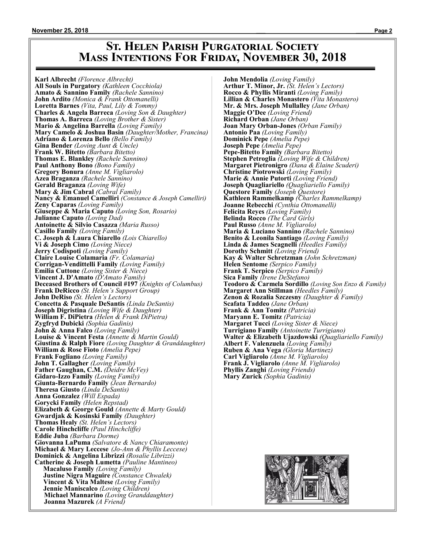### **St. Helen Parish Purgatorial Society Mass Intentions For Friday, November 30, 2018**

**Karl Albrecht** *(Florence Albrecht)* **All Souls in Purgatory** *(Kathleen Cocchiola)* **Amato & Sannino Family** *(Rachele Sannino)* **John Ardito** *(Monica & Frank Ottomanelli)* **Loretta Barnes** *(Vita, Paul, Lily & Tommy)* **Charles & Angela Barreca** *(Loving Son & Daughter)* **Thomas A. Barreca** *(Loving Brother & Sister)* **Mario & Angelina Barrella** *(Loving Family)* **Mary Camelo & Joshua Basin** *(Daughter/Mother, Francina)* **Adriano & Lorenza Bello** *(Bello Family)* **Gina Bender** *(Loving Aunt & Uncle)* **Frank W. Bitetto** *(Barbara Bitetto)* **Thomas E. Blankley** *(Rachele Sannino)* **Paul Anthony Bono** *(Bono Family)* **Gregory Bonura** *(Anne M. Vigliarolo)* **Azea Braganza** *(Rachele Sannino)* **Gerald Braganza** *(Loving Wife)* **Mary & Jim Cabral** *(Cabral Family)* **Nancy & Emanuel Camelliri** *(Constance & Joseph Camelliri)* **Zeny Caparas** *(Loving Family)* **Giuseppe & Maria Caputo** *(Loving Son, Rosario)* **Julianne Caputo** *(Loving Dad)* **Antoinette & Silvio Casazza** *(Maria Russo)* **Casillo Family** *(Loving Family)* **C. Joseph & Laura Chiarello** *(Lois Chiarello)* **Vi & Joseph Cimo** *(Loving Niece)* **Jerry Codispoti** *(Loving Family)* **Claire Louise Colamaria** *(Fr. Colamaria)* **Corrigan-Vendittelli Family** *(Loving Family)* **Emilia Cuttone** *(Loving Sister & Niece)* **Vincent J. D'Amato** *(D'Amato Family)* **Deceased Brothers of Council #197** *(Knights of Columbus)* **Frank DeRicco** *(St. Helen's Support Group)* **John DeRiso** *(St. Helen's Lectors)* **Concetta & Pasquale DeSantis** *(Linda DeSantis)* **Joseph Digristina** *(Loving Wife & Daughter)* **William F. DiPietra** *(Helen & Frank DiPietra)* **Zygfryd Dubicki** *(Sophia Gadinis)* **John & Anna Falco** *(Loving Family)* **Louise & Vincent Festa** *(Annette & Martin Gould)* **Giustina & Ralph Fiore** *(Loving Daughter & Granddaughter)* **William & Rose Fioto** *(Amelia Pepe)* **Frank Fogliano** *(Loving Family)* **John T. Gallagher** *(Loving Family)* **Father Gaughan, C.M.** *(Deidre McVey)* **Gidaro-Izzo Family** *(Loving Family)* **Giunta-Bernardo Family** *(Jean Bernardo)* **Theresa Giusto** *(Linda DeSantis)* **Anna Gonzalez** *(Will Espada)* **Gorycki Family** *(Helen Repstad)* **Elizabeth & George Gould** *(Annette & Marty Gould)* **Gwardjak & Kosinski Family** *(Daughter)* **Thomas Healy** *(St. Helen's Lectors)* **Carole Hinchcliffe** *(Paul Hinchcliffe)* **Eddie Juba** *(Barbara Dorme)* **Giovanna LaPuma** *(Salvatore & Nancy Chiaramonte)* **Michael & Mary Leccese** *(Jo-Ann & Phyllis Leccese)* **Dominick & Angelina Librizzi** *(Rosalie Librizzi)* **Catherine & Joseph Lumetta** *(Pauline Mantineo)*  **Macaluso Family** *(Loving Family)*  **Justine Nigra Maguire** *(Constance Chwalek)*  **Vincent & Vita Maltese** *(Loving Family)*  **Jennie Maniscalco** *(Loving Children)* **Michael Mannarino** *(Loving Granddaughter)* **Joanna Mazurek** *(A Friend)*

**John Mendolia** *(Loving Family)* **Arthur T. Minor, Jr.** *(St. Helen's Lectors)* **Rocco & Phyllis Miranti** *(Loving Family)* **Lillian & Charles Monastero** *(Vita Monastero)* **Mr. & Mrs. Joseph Mullalley** *(Jane Orban)* **Maggie O'Dee** *(Loving Friend)* **Richard Orban** *(Jane Orban)* **Joan Mary Orban-Jones** *(Orban Family)* **Antonio Paa** *(Loving Family)* **Dominick Pepe** *(Amelia Pepe)* **Joseph Pepe** *(Amelia Pepe)* **Pepe-Bitetto Family** *(Barbara Bitetto)* **Stephen Petroglia** *(Loving Wife & Children)* **Margaret Pietronigro** *(Dana & Elaine Scuderi)* **Christine Piotrowski** *(Loving Family)* **Marie & Annie Putorti** *(Loving Friend)* **Joseph Quagliariello** *(Quagliariello Family)* **Questore Family** *(Joseph Questore)* **Kathleen Rammelkamp** *(Charles Rammelkamp)* **Joanne Rebecchi** *(Cynthia Ottomanelli)* **Felicita Reyes** *(Loving Family)* **Belinda Rocco** *(The Card Girls)* **Paul Russo** *(Anne M. Vigliarolo)* **Maria & Luciano Sannino** *(Rachele Sannino)* **Benito & Leonila Santiago** *(Loving Family)* **Linda & James Scagnelli** *(Heedles Family)* **Dorothy Schmitt** *(Loving Friend)* **Kay & Walter Schretzman** *(John Schretzman)* **Helen Sentome** *(Serpico Family)* **Frank T. Serpico** *(Serpico Family)* **Sica Family** *(Irene DeStefano)* **Teodoro & Carmela Sordillo** *(Loving Son Enzo & Family)* **Margaret Ann Stillman** *(Heedles Family)* **Zenon & Rozalia Szczesny** *(Daughter & Family)* **Scafata Taddeo** *(Jane Orban)* **Frank & Ann Tomitz** *(Patricia)* **Maryann E. Tomitz** *(Patricia)* **Margaret Tucci** *(Loving Sister & Niece)* **Turrigiano Family** *(Antoinette Turrigiano)* **Walter & Elizabeth Ujazdowski** *(Quagliariello Family)* **Albert F. Valenzuela** *(Loving Family)* **Ruben & Ana Vega** *(Gloria Martinez)* **Carl Vigliarolo** *(Anne M. Vigliarolo)* **Frank J. Vigliarolo** *(Anne M. Vigliarolo)* **Phyllis Zanghi** *(Loving Friends)* **Mary Zurick** *(Sophia Gadinis)*

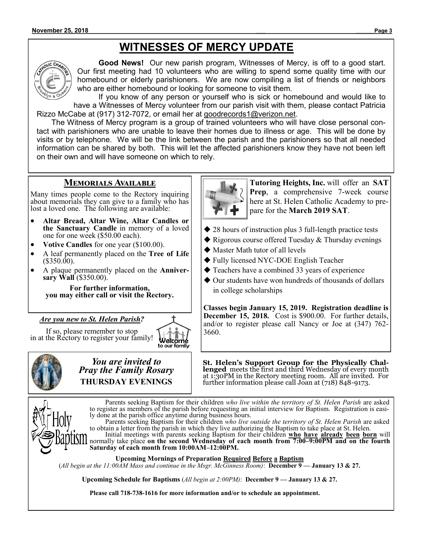# **WITNESSES OF MERCY UPDATE**



**Good News!** Our new parish program, Witnesses of Mercy, is off to a good start. Our first meeting had 10 volunteers who are willing to spend some quality time with our homebound or elderly parishioners. We are now compiling a list of friends or neighbors who are either homebound or looking for someone to visit them.

If you know of any person or yourself who is sick or homebound and would like to have a Witnesses of Mercy volunteer from our parish visit with them, please contact Patricia Rizzo McCabe at (917) 312-7072, or email her at goodrecords1@verizon.net.

 The Witness of Mercy program is a group of trained volunteers who will have close personal contact with parishioners who are unable to leave their homes due to illness or age. This will be done by visits or by telephone. We will be the link between the parish and the parishioners so that all needed information can be shared by both. This will let the affected parishioners know they have not been left on their own and will have someone on which to rely.

### **Memorials Available**

Many times people come to the Rectory inquiring about memorials they can give to a family who has lost a loved one. The following are available:

- **Altar Bread, Altar Wine, Altar Candles or the Sanctuary Candle** in memory of a loved one for one week (\$50.00 each).
- **Votive Candles** for one year (\$100.00).
- A leaf permanently placed on the **Tree of Life**   $($350.00)$ .
- A plaque permanently placed on the **Anniversary Wall** (\$350.00).

**For further information, you may either call or visit the Rectory.**

### *Are you new to St. Helen Parish?*

If so, please remember to stop in at the Rectory to register your family!





*You are invited to Pray the Family Rosary* **THURSDAY EVENINGS**



**Tutoring Heights, Inc.** will offer an **SAT Prep**, a comprehensive 7-week course here at St. Helen Catholic Academy to prepare for the **March 2019 SAT**.

- ◆ 28 hours of instruction plus 3 full-length practice tests
- ◆ Rigorous course offered Tuesday & Thursday evenings
- ◆ Master Math tutor of all levels
- ◆ Fully licensed NYC-DOE English Teacher
- ◆ Teachers have a combined 33 years of experience
- ◆ Our students have won hundreds of thousands of dollars in college scholarships

**Classes begin January 15, 2019. Registration deadline is December 15, 2018.** Cost is \$900.00. For further details, and/or to register please call Nancy or Joe at (347) 762- 3660.

**St. Helen's Support Group for the Physically Challenged** meets the first and third Wednesday of every month at 1:30PM in the Rectory meeting room. All are invited. For further information please call Joan at (718) 848-9173.



Parents seeking Baptism for their children *who live within the territory of St. Helen Parish* are asked to register as members of the parish before requesting an initial interview for Baptism. Registration is easily done at the parish office anytime during business hours.

Parents seeking Baptism for their children *who live outside the territory of St. Helen Parish* are asked to obtain a letter from the parish in which they live authorizing the Baptism to take place at St. Helen. Initial meetings with parents seeking Baptism for their children **who have already been born** will

normally take place **on the second Wednesday of each month from 7:00–9:00PM and on the fourth Saturday of each month from 10:00AM–12:00PM.**

**Upcoming Mornings of Preparation Required Before a Baptism**

(*All begin at the 11:00AM Mass and continue in the Msgr. McGinness Room)*: **December 9 — January 13 & 27.**

**Upcoming Schedule for Baptisms** (*All begin at 2:00PM)*: **December 9 — January 13 & 27.**

**Please call 718-738-1616 for more information and/or to schedule an appointment.**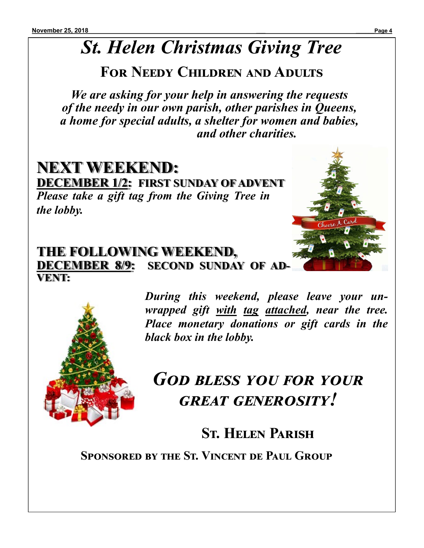# *St. Helen Christmas Giving Tree*

# **For Needy Children and Adults**

*We are asking for your help in answering the requests of the needy in our own parish, other parishes in Queens, a home for special adults, a shelter for women and babies, and other charities.*

# **NEXT WEEKEND: DECEMBER 1/2: FIRST SUNDAY OF ADVENT** *Please take a gift tag from the Giving Tree in the lobby.*

## **THE FOLLOWING WEEKEND, DECEMBER 8/9: SECOND SUNDAY OF AD-VENT:**



*During this weekend, please leave your unwrapped gift with tag attached, near the tree. Place monetary donations or gift cards in the black box in the lobby.* 

# *God bless you for your great generosity!*

# **St. Helen Parish**

**Sponsored by the St. Vincent de Paul Group**